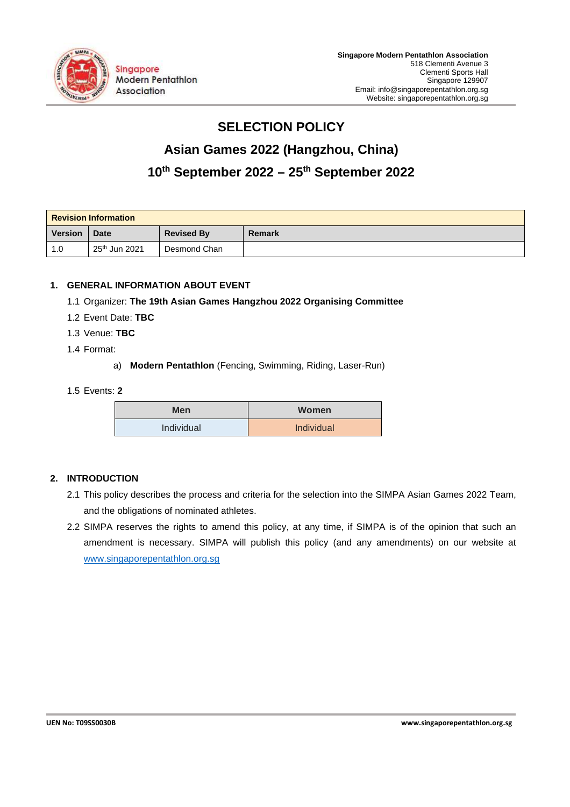

# **SELECTION POLICY**

# **Asian Games 2022 (Hangzhou, China)**

# **10th September 2022 – 25th September 2022**

| <b>Revision Information</b> |                           |                   |               |  |  |
|-----------------------------|---------------------------|-------------------|---------------|--|--|
| <b>Version</b>              | <b>Date</b>               | <b>Revised By</b> | <b>Remark</b> |  |  |
| 1.0                         | 25 <sup>th</sup> Jun 2021 | Desmond Chan      |               |  |  |

# **1. GENERAL INFORMATION ABOUT EVENT**

- 1.1 Organizer: **The 19th Asian Games Hangzhou 2022 Organising Committee**
- 1.2 Event Date: **TBC**
- 1.3 Venue: **TBC**
- 1.4 Format:
	- a) **Modern Pentathlon** (Fencing, Swimming, Riding, Laser-Run)

#### 1.5 Events: **2**

| <b>Men</b> | <b>Women</b> |
|------------|--------------|
| Individual | Individual   |

# **2. INTRODUCTION**

- 2.1 This policy describes the process and criteria for the selection into the SIMPA Asian Games 2022 Team, and the obligations of nominated athletes.
- 2.2 SIMPA reserves the rights to amend this policy, at any time, if SIMPA is of the opinion that such an amendment is necessary. SIMPA will publish this policy (and any amendments) on our website at www.singaporepentathlon.org.sg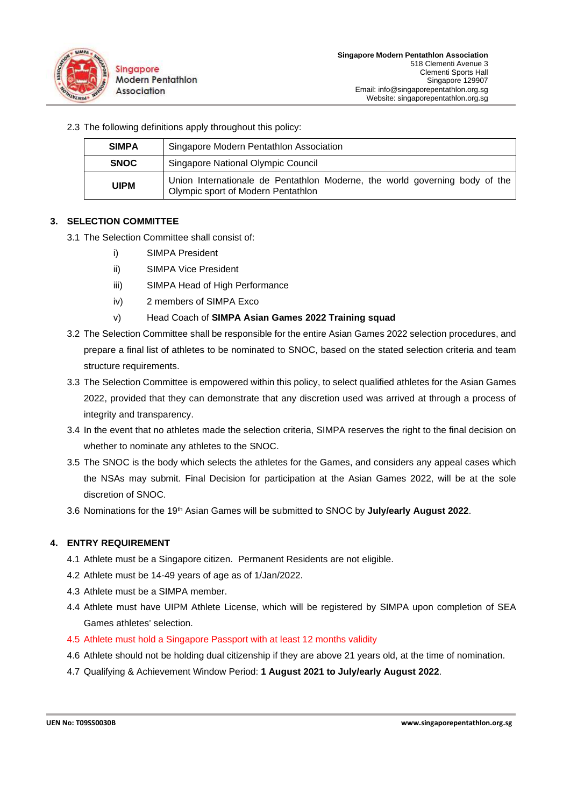

| <b>SIMPA</b> | Singapore Modern Pentathlon Association                                                                           |
|--------------|-------------------------------------------------------------------------------------------------------------------|
| <b>SNOC</b>  | Singapore National Olympic Council                                                                                |
| <b>UIPM</b>  | Union Internationale de Pentathlon Moderne, the world governing body of the<br>Olympic sport of Modern Pentathlon |

#### **3. SELECTION COMMITTEE**

- 3.1 The Selection Committee shall consist of:
	- i) SIMPA President
	- ii) SIMPA Vice President

2.3 The following definitions apply throughout this policy:

- iii) SIMPA Head of High Performance
- iv) 2 members of SIMPA Exco

#### v) Head Coach of **SIMPA Asian Games 2022 Training squad**

- 3.2 The Selection Committee shall be responsible for the entire Asian Games 2022 selection procedures, and prepare a final list of athletes to be nominated to SNOC, based on the stated selection criteria and team structure requirements.
- 3.3 The Selection Committee is empowered within this policy, to select qualified athletes for the Asian Games 2022, provided that they can demonstrate that any discretion used was arrived at through a process of integrity and transparency.
- 3.4 In the event that no athletes made the selection criteria, SIMPA reserves the right to the final decision on whether to nominate any athletes to the SNOC.
- 3.5 The SNOC is the body which selects the athletes for the Games, and considers any appeal cases which the NSAs may submit. Final Decision for participation at the Asian Games 2022, will be at the sole discretion of SNOC.
- 3.6 Nominations for the 19th Asian Games will be submitted to SNOC by **July/early August 2022**.

#### **4. ENTRY REQUIREMENT**

- 4.1 Athlete must be a Singapore citizen. Permanent Residents are not eligible.
- 4.2 Athlete must be 14-49 years of age as of 1/Jan/2022.
- 4.3 Athlete must be a SIMPA member.
- 4.4 Athlete must have UIPM Athlete License, which will be registered by SIMPA upon completion of SEA Games athletes' selection.
- 4.5 Athlete must hold a Singapore Passport with at least 12 months validity
- 4.6 Athlete should not be holding dual citizenship if they are above 21 years old, at the time of nomination.
- 4.7 Qualifying & Achievement Window Period: **1 August 2021 to July/early August 2022**.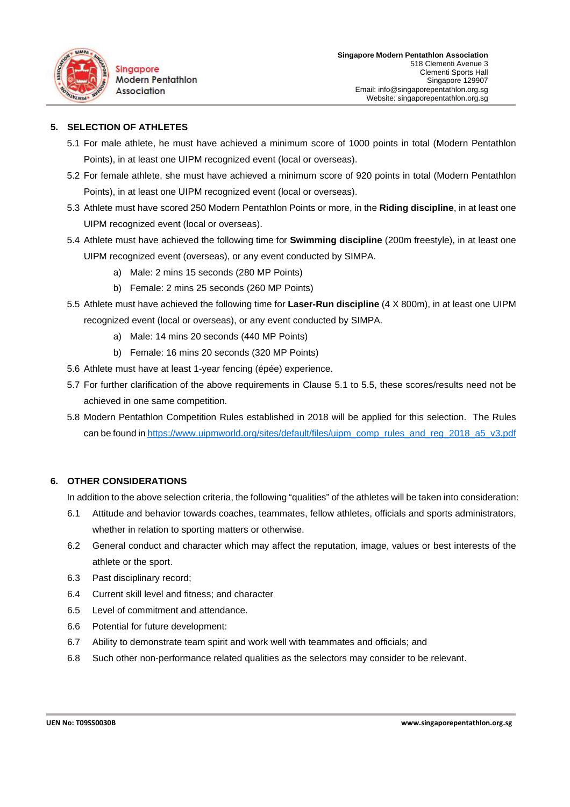

#### **5. SELECTION OF ATHLETES**

- 5.1 For male athlete, he must have achieved a minimum score of 1000 points in total (Modern Pentathlon Points), in at least one UIPM recognized event (local or overseas).
- 5.2 For female athlete, she must have achieved a minimum score of 920 points in total (Modern Pentathlon Points), in at least one UIPM recognized event (local or overseas).
- 5.3 Athlete must have scored 250 Modern Pentathlon Points or more, in the **Riding discipline**, in at least one UIPM recognized event (local or overseas).
- 5.4 Athlete must have achieved the following time for **Swimming discipline** (200m freestyle), in at least one UIPM recognized event (overseas), or any event conducted by SIMPA.
	- a) Male: 2 mins 15 seconds (280 MP Points)
	- b) Female: 2 mins 25 seconds (260 MP Points)
- 5.5 Athlete must have achieved the following time for **Laser-Run discipline** (4 X 800m), in at least one UIPM recognized event (local or overseas), or any event conducted by SIMPA.
	- a) Male: 14 mins 20 seconds (440 MP Points)
	- b) Female: 16 mins 20 seconds (320 MP Points)
- 5.6 Athlete must have at least 1-year fencing (épée) experience.
- 5.7 For further clarification of the above requirements in Clause 5.1 to 5.5, these scores/results need not be achieved in one same competition.
- 5.8 Modern Pentathlon Competition Rules established in 2018 will be applied for this selection. The Rules can be found in https://www.uipmworld.org/sites/default/files/uipm\_comp\_rules\_and\_reg\_2018\_a5\_v3.pdf

#### **6. OTHER CONSIDERATIONS**

In addition to the above selection criteria, the following "qualities" of the athletes will be taken into consideration:

- 6.1 Attitude and behavior towards coaches, teammates, fellow athletes, officials and sports administrators, whether in relation to sporting matters or otherwise.
- 6.2 General conduct and character which may affect the reputation, image, values or best interests of the athlete or the sport.
- 6.3 Past disciplinary record;
- 6.4 Current skill level and fitness; and character
- 6.5 Level of commitment and attendance.
- 6.6 Potential for future development:
- 6.7 Ability to demonstrate team spirit and work well with teammates and officials; and
- 6.8 Such other non-performance related qualities as the selectors may consider to be relevant.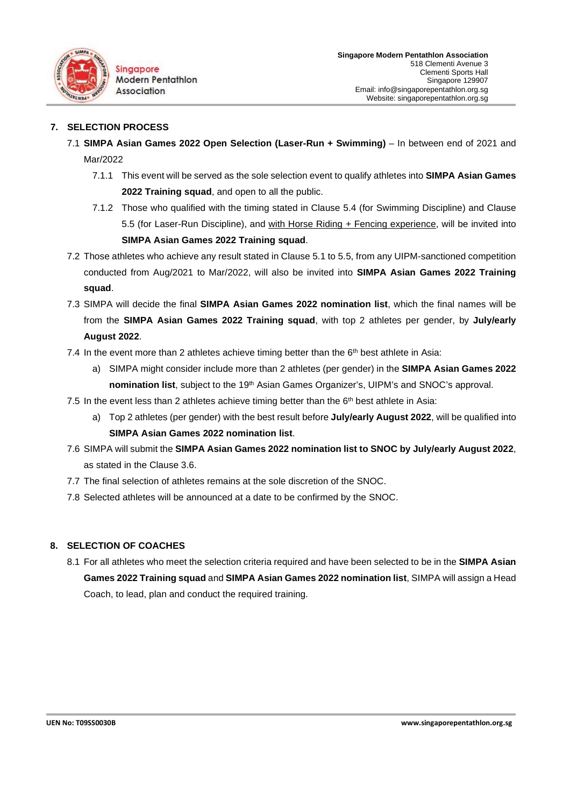

#### **7. SELECTION PROCESS**

- 7.1 **SIMPA Asian Games 2022 Open Selection (Laser-Run + Swimming)** In between end of 2021 and Mar/2022
	- 7.1.1 This event will be served as the sole selection event to qualify athletes into **SIMPA Asian Games 2022 Training squad**, and open to all the public.
	- 7.1.2 Those who qualified with the timing stated in Clause 5.4 (for Swimming Discipline) and Clause 5.5 (for Laser-Run Discipline), and with Horse Riding + Fencing experience, will be invited into **SIMPA Asian Games 2022 Training squad**.
- 7.2 Those athletes who achieve any result stated in Clause 5.1 to 5.5, from any UIPM-sanctioned competition conducted from Aug/2021 to Mar/2022, will also be invited into **SIMPA Asian Games 2022 Training squad**.
- 7.3 SIMPA will decide the final **SIMPA Asian Games 2022 nomination list**, which the final names will be from the **SIMPA Asian Games 2022 Training squad**, with top 2 athletes per gender, by **July/early August 2022**.
- 7.4 In the event more than 2 athletes achieve timing better than the  $6<sup>th</sup>$  best athlete in Asia:
	- a) SIMPA might consider include more than 2 athletes (per gender) in the **SIMPA Asian Games 2022 nomination list**, subject to the 19th Asian Games Organizer's, UIPM's and SNOC's approval.
- 7.5 In the event less than 2 athletes achieve timing better than the  $6<sup>th</sup>$  best athlete in Asia:
	- a) Top 2 athletes (per gender) with the best result before **July/early August 2022**, will be qualified into **SIMPA Asian Games 2022 nomination list**.
- 7.6 SIMPA will submit the **SIMPA Asian Games 2022 nomination list to SNOC by July/early August 2022**, as stated in the Clause 3.6.
- 7.7 The final selection of athletes remains at the sole discretion of the SNOC.
- 7.8 Selected athletes will be announced at a date to be confirmed by the SNOC.

# **8. SELECTION OF COACHES**

8.1 For all athletes who meet the selection criteria required and have been selected to be in the **SIMPA Asian Games 2022 Training squad** and **SIMPA Asian Games 2022 nomination list**, SIMPA will assign a Head Coach, to lead, plan and conduct the required training.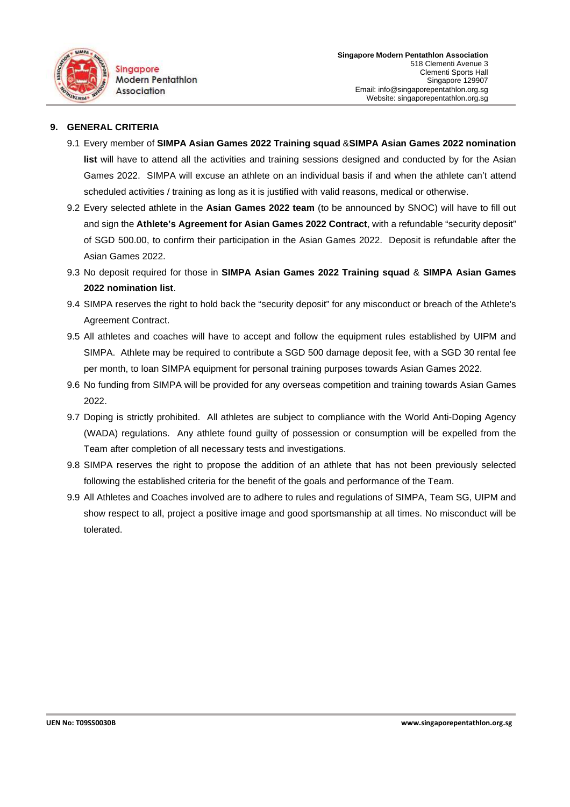

#### **9. GENERAL CRITERIA**

- 9.1 Every member of **SIMPA Asian Games 2022 Training squad** &**SIMPA Asian Games 2022 nomination list** will have to attend all the activities and training sessions designed and conducted by for the Asian Games 2022. SIMPA will excuse an athlete on an individual basis if and when the athlete can't attend scheduled activities / training as long as it is justified with valid reasons, medical or otherwise.
- 9.2 Every selected athlete in the **Asian Games 2022 team** (to be announced by SNOC) will have to fill out and sign the **Athlete's Agreement for Asian Games 2022 Contract**, with a refundable "security deposit" of SGD 500.00, to confirm their participation in the Asian Games 2022. Deposit is refundable after the Asian Games 2022.
- 9.3 No deposit required for those in **SIMPA Asian Games 2022 Training squad** & **SIMPA Asian Games 2022 nomination list**.
- 9.4 SIMPA reserves the right to hold back the "security deposit" for any misconduct or breach of the Athlete's Agreement Contract.
- 9.5 All athletes and coaches will have to accept and follow the equipment rules established by UIPM and SIMPA. Athlete may be required to contribute a SGD 500 damage deposit fee, with a SGD 30 rental fee per month, to loan SIMPA equipment for personal training purposes towards Asian Games 2022.
- 9.6 No funding from SIMPA will be provided for any overseas competition and training towards Asian Games 2022.
- 9.7 Doping is strictly prohibited. All athletes are subject to compliance with the World Anti-Doping Agency (WADA) regulations. Any athlete found guilty of possession or consumption will be expelled from the Team after completion of all necessary tests and investigations.
- 9.8 SIMPA reserves the right to propose the addition of an athlete that has not been previously selected following the established criteria for the benefit of the goals and performance of the Team.
- 9.9 All Athletes and Coaches involved are to adhere to rules and regulations of SIMPA, Team SG, UIPM and show respect to all, project a positive image and good sportsmanship at all times. No misconduct will be tolerated.